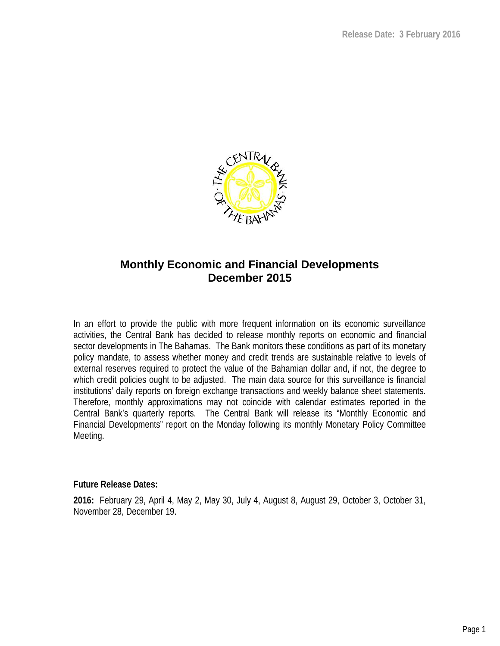

### **Monthly Economic and Financial Developments December 2015**

In an effort to provide the public with more frequent information on its economic surveillance activities, the Central Bank has decided to release monthly reports on economic and financial sector developments in The Bahamas. The Bank monitors these conditions as part of its monetary policy mandate, to assess whether money and credit trends are sustainable relative to levels of external reserves required to protect the value of the Bahamian dollar and, if not, the degree to which credit policies ought to be adjusted. The main data source for this surveillance is financial institutions' daily reports on foreign exchange transactions and weekly balance sheet statements. Therefore, monthly approximations may not coincide with calendar estimates reported in the Central Bank's quarterly reports. The Central Bank will release its "Monthly Economic and Financial Developments" report on the Monday following its monthly Monetary Policy Committee Meeting.

**Future Release Dates:**

**2016:** February 29, April 4, May 2, May 30, July 4, August 8, August 29, October 3, October 31, November 28, December 19.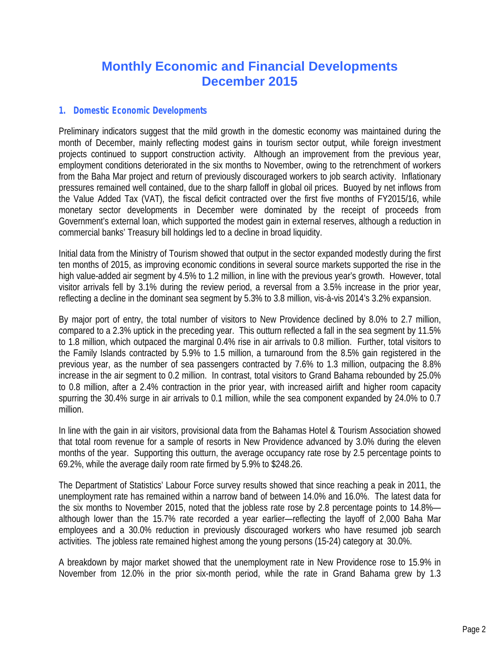## **Monthly Economic and Financial Developments December 2015**

#### *1. Domestic Economic Developments*

Preliminary indicators suggest that the mild growth in the domestic economy was maintained during the month of December, mainly reflecting modest gains in tourism sector output, while foreign investment projects continued to support construction activity. Although an improvement from the previous year, employment conditions deteriorated in the six months to November, owing to the retrenchment of workers from the Baha Mar project and return of previously discouraged workers to job search activity. Inflationary pressures remained well contained, due to the sharp falloff in global oil prices. Buoyed by netinflows from the Value Added Tax (VAT), the fiscal deficit contracted over the first five months of FY2015/16, while monetary sector developments in December were dominated by the receipt of proceeds from Government's external loan, which supported the modest gain in external reserves, although a reduction in commercial banks' Treasury bill holdings led to a decline in broad liquidity.

Initial data from the Ministry of Tourism showed that output in the sector expanded modestly during the first ten months of 2015, as improving economic conditions in several source markets supported the rise in the high value-added air segment by 4.5% to 1.2 million, in line with the previous year's growth. However, total visitor arrivals fell by 3.1% during the review period, a reversal from a 3.5% increase in the prior year, reflecting a decline in the dominant sea segment by 5.3% to 3.8 million, vis-à-vis 2014's 3.2% expansion.

By major port of entry, the total number of visitors to New Providence declined by 8.0% to 2.7 million, compared to a 2.3% uptick in the preceding year. This outturn reflected a fall in the sea segment by 11.5% to 1.8 million, which outpaced the marginal 0.4% rise in air arrivals to 0.8 million. Further, total visitors to the Family Islands contracted by 5.9% to 1.5 million, a turnaround from the 8.5% gain registered in the previous year, as the number of sea passengers contracted by 7.6% to 1.3 million, outpacing the 8.8% increase in the air segment to 0.2 million. In contrast, total visitors to Grand Bahama rebounded by 25.0% to 0.8 million, after a 2.4% contraction in the prior year, with increased airlift and higher room capacity spurring the 30.4% surge in air arrivals to 0.1 million, while the sea component expanded by 24.0% to 0.7 million.

In line with the gain in air visitors, provisional data from the Bahamas Hotel & Tourism Association showed that total room revenue for a sample of resorts in New Providence advanced by 3.0% during the eleven months of the year. Supporting this outturn, the average occupancy rate rose by 2.5 percentage points to 69.2%, while the average daily room rate firmed by 5.9% to \$248.26.

The Department of Statistics' Labour Force survey results showed thatsince reaching a peak in 2011, the unemployment rate has remained within a narrow band of between 14.0% and 16.0%. The latest data for the six months to November 2015, noted that the jobless rate rose by 2.8 percentage points to  $14.8\%$  although lower than the 15.7% rate recorded a year earlier—reflecting the layoff of 2,000 Baha Mar employees and a 30.0% reduction in previously discouraged workers who have resumed job search activities. The jobless rate remained highest among the young persons (15-24) category at 30.0%.

A breakdown by major market showed that the unemployment rate in New Providence rose to 15.9% in November from 12.0% in the prior six-month period, while the rate in Grand Bahama grew by 1.3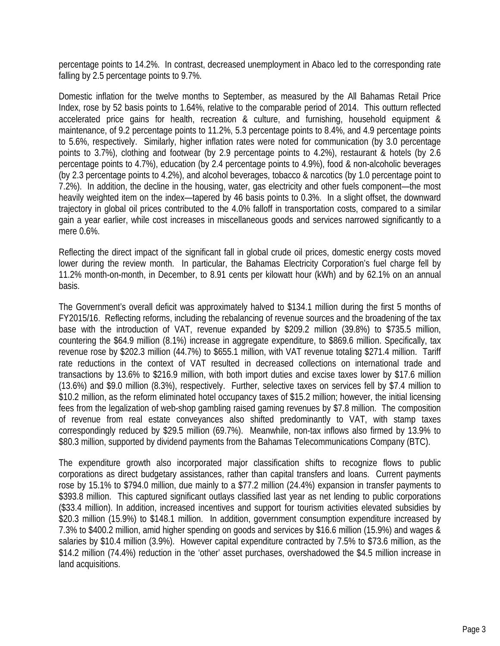percentage points to 14.2%. In contrast, decreased unemployment in Abaco led to the corresponding rate falling by 2.5 percentage points to 9.7%.

Domestic inflation for the twelve months to September, as measured by the All Bahamas Retail Price Index, rose by 52 basis points to 1.64%, relative to the comparable period of 2014. This outturn reflected accelerated price gains for health, recreation & culture, and furnishing, household equipment & maintenance, of 9.2 percentage points to 11.2%, 5.3 percentage points to 8.4%, and 4.9 percentage points to 5.6%, respectively. Similarly, higher inflation rates were noted for communication (by 3.0 percentage points to 3.7%), clothing and footwear (by 2.9 percentage points to 4.2%), restaurant & hotels (by 2.6 percentage points to 4.7%), education (by 2.4 percentage points to 4.9%), food & non-alcoholic beverages (by 2.3 percentage points to 4.2%), and alcohol beverages, tobacco & narcotics (by 1.0 percentage point to 7.2%). In addition, the decline in the housing, water, gas electricity and other fuels component—the most heavily weighted item on the index—tapered by 46 basis points to 0.3%. In a slight offset, the downward trajectory in global oil prices contributed to the 4.0% falloff in transportation costs, compared to a similar gain a year earlier, while cost increases in miscellaneous goods and services narrowed significantly to a mere 0.6%.

Reflecting the direct impact of the significant fall in global crude oil prices, domestic energy costs moved lower during the review month. In particular, the Bahamas Electricity Corporation's fuel charge fell by 11.2% month-on-month, in December, to 8.91 cents per kilowatt hour (kWh) and by 62.1% on an annual basis.

The Government's overall deficit was approximately halved to \$134.1 million during the first 5 months of FY2015/16. Reflecting reforms, including the rebalancing of revenue sources and the broadening of the tax base with the introduction of VAT, revenue expanded by \$209.2 million (39.8%) to \$735.5 million, countering the \$64.9 million (8.1%) increase in aggregate expenditure, to \$869.6 million. Specifically, tax revenue rose by \$202.3 million (44.7%) to \$655.1 million, with VAT revenue totaling \$271.4 million. Tariff rate reductions in the context of VAT resulted in decreased collections on international trade and transactions by 13.6% to \$216.9 million, with both import duties and excise taxes lower by \$17.6 million (13.6%) and \$9.0 million (8.3%), respectively. Further, selective taxes on services fell by \$7.4 million to \$10.2 million, as the reform eliminated hotel occupancy taxes of \$15.2 million; however, the initial licensing fees from the legalization of web-shop gambling raised gaming revenues by \$7.8 million. The composition of revenue from real estate conveyances also shifted predominantly to VAT, with stamp taxes correspondingly reduced by \$29.5 million (69.7%). Meanwhile, non-tax inflows also firmed by 13.9% to \$80.3 million, supported by dividend payments from the Bahamas Telecommunications Company (BTC).

The expenditure growth also incorporated major classification shifts to recognize flows to public corporations as direct budgetary assistances, rather than capital transfers and loans. Current payments rose by 15.1% to \$794.0 million, due mainly to a \$77.2 million (24.4%) expansion in transfer payments to \$393.8 million. This captured significant outlays classified last year as net lending to public corporations (\$33.4 million). In addition, increased incentives and support for tourism activities elevated subsidies by \$20.3 million (15.9%) to \$148.1 million. In addition, government consumption expenditure increased by 7.3% to \$400.2 million, amid higher spending on goods and services by \$16.6 million (15.9%) and wages & salaries by \$10.4 million (3.9%). However capital expenditure contracted by 7.5% to \$73.6 million, as the \$14.2 million (74.4%) reduction in the 'other' asset purchases, overshadowed the \$4.5 million increase in land acquisitions.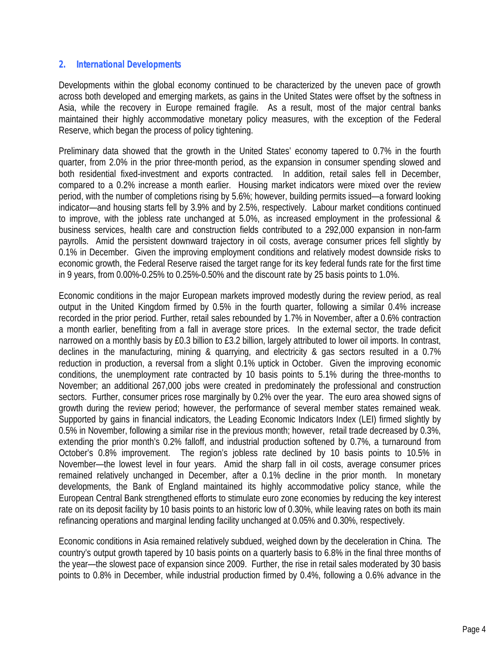#### *2. International Developments*

Developments within the global economy continued to be characterized by the uneven pace of growth across both developed and emerging markets, as gains in the United States were offset by the softness in Asia, while the recovery in Europe remained fragile. As a result, most of the major central banks maintained their highly accommodative monetary policy measures, with the exception of the Federal Reserve, which began the process of policy tightening.

Preliminary data showed that the growth in the United States' economy tapered to 0.7% in the fourth quarter, from 2.0% in the prior three-month period, as the expansion in consumer spending slowed and both residential fixed-investment and exports contracted. In addition, retail sales fell in December, compared to a 0.2% increase a month earlier. Housing market indicators were mixed over the review period, with the number of completions rising by 5.6%; however, building permits issued—a forward looking indicator—and housing starts fell by 3.9% and by 2.5%, respectively. Labour market conditions continued to improve, with the jobless rate unchanged at 5.0%, as increased employment in the professional & business services, health care and construction fields contributed to a 292,000 expansion in non-farm payrolls. Amid the persistent downward trajectory in oil costs, average consumer prices fell slightly by 0.1% in December. Given the improving employment conditions and relatively modest downside risks to economic growth, the Federal Reserve raised the target range for its key federal funds rate for the first time in 9 years, from 0.00%-0.25% to 0.25%-0.50% and the discount rate by 25 basis points to 1.0%.

Economic conditions in the major European markets improved modestly during the review period, as real output in the United Kingdom firmed by 0.5% in the fourth quarter, following a similar 0.4% increase recorded in the prior period. Further, retail sales rebounded by 1.7% in November, after a 0.6% contraction a month earlier, benefiting from a fall in average store prices. In the external sector, the trade deficit narrowed on a monthly basis by £0.3 billion to £3.2 billion, largely attributed to lower oil imports. In contrast, declines in the manufacturing, mining & quarrying, and electricity & gas sectors resulted in a 0.7% reduction in production, a reversal from a slight 0.1% uptick in October. Given the improving economic conditions, the unemployment rate contracted by 10 basis points to 5.1% during the three-months to November; an additional 267,000 jobs were created in predominately the professional and construction sectors. Further, consumer prices rose marginally by 0.2% over the year. The euro area showed signs of growth during the review period; however, the performance of several member states remained weak. Supported by gains in financial indicators, the Leading Economic Indicators Index (LEI) firmed slightly by 0.5% in November, following a similar rise in the previous month; however, retail trade decreased by 0.3%, extending the prior month's 0.2% falloff, and industrial production softened by 0.7%, a turnaround from October's 0.8% improvement. The region's jobless rate declined by 10 basis points to 10.5% in November—the lowest level in four years. Amid the sharp fall in oil costs, average consumer prices remained relatively unchanged in December, after a 0.1% decline in the prior month. In monetary developments, the Bank of England maintained its highly accommodative policy stance, while the European Central Bank strengthened efforts to stimulate euro zone economies by reducing the key interest rate on its deposit facility by 10 basis points to an historic low of 0.30%, while leaving rates on both its main refinancing operations and marginal lending facility unchanged at 0.05% and 0.30%, respectively.

Economic conditions in Asia remained relatively subdued, weighed down by the deceleration in China. The country's output growth tapered by 10 basis points on a quarterly basis to 6.8% in the final three months of the year—the slowest pace of expansion since 2009. Further, the rise in retail sales moderated by 30 basis points to 0.8% in December, while industrial production firmed by 0.4%, following a 0.6% advance in the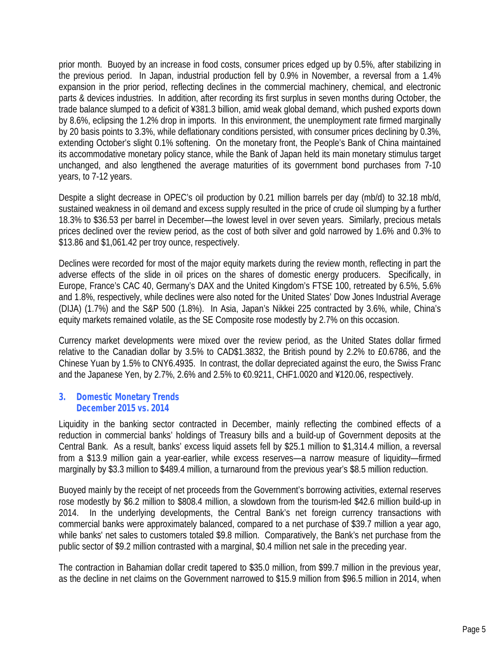prior month. Buoyed by an increase in food costs, consumer prices edged up by 0.5%, after stabilizing in the previous period. In Japan, industrial production fell by 0.9% in November, a reversal from a 1.4% expansion in the prior period, reflecting declines in the commercial machinery, chemical, and electronic parts & devices industries. In addition, after recording its first surplus in seven months during October, the trade balance slumped to a deficit of ¥381.3 billion, amid weak global demand, which pushed exports down by 8.6%, eclipsing the 1.2% drop in imports. In this environment, the unemployment rate firmed marginally by 20 basis points to 3.3%, while deflationary conditions persisted, with consumer prices declining by 0.3%, extending October's slight 0.1% softening. On the monetary front, the People's Bank of China maintained its accommodative monetary policy stance, while the Bank of Japan held its main monetary stimulus target unchanged, and also lengthened the average maturities of its government bond purchases from 7-10 years, to 7-12 years.

Despite a slight decrease in OPEC's oil production by 0.21 million barrels per day (mb/d) to 32.18 mb/d, sustained weakness in oil demand and excess supply resulted in the price of crude oil slumping by a further 18.3% to \$36.53 per barrel in December—the lowest level in over seven years. Similarly, precious metals prices declined over the review period, as the cost of both silver and gold narrowed by 1.6% and 0.3% to \$13.86 and \$1,061.42 per troy ounce, respectively.

Declines were recorded for most of the major equity markets during the review month, reflecting in part the adverse effects of the slide in oil prices on the shares of domestic energy producers. Specifically, in Europe, France's CAC 40, Germany's DAX and the United Kingdom's FTSE 100, retreated by 6.5%, 5.6% and 1.8%, respectively, while declines were also noted for the United States' Dow Jones Industrial Average (DIJA) (1.7%) and the S&P 500 (1.8%). In Asia, Japan's Nikkei 225 contracted by 3.6%, while, China's equity markets remained volatile, as the SE Composite rose modestly by 2.7% on this occasion.

Currency market developments were mixed over the review period, as the United States dollar firmed relative to the Canadian dollar by 3.5% to CAD\$1.3832, the British pound by 2.2% to £0.6786, and the Chinese Yuan by 1.5% to CNY6.4935. In contrast, the dollar depreciated against the euro, the Swiss Franc and the Japanese Yen, by 2.7%, 2.6% and 2.5% to €0.9211, CHF1.0020 and ¥120.06, respectively.

#### *3. Domestic Monetary Trends December 2015 vs. 2014*

Liquidity in the banking sector contracted in December, mainly reflecting the combined effects of a reduction in commercial banks' holdings of Treasury bills and a build-up of Government deposits at the Central Bank. As a result, banks' excess liquid assets fell by \$25.1 million to \$1,314.4 million, a reversal from a \$13.9 million gain a year-earlier, while excess reserves—a narrow measure of liquidity—firmed marginally by \$3.3 million to \$489.4 million, a turnaround from the previous year's \$8.5 million reduction.

Buoyed mainly by the receipt of net proceeds from the Government's borrowing activities, external reserves rose modestly by \$6.2 million to \$808.4 million, a slowdown from the tourism-led \$42.6 million build-up in 2014. In the underlying developments, the Central Bank's net foreign currency transactions with commercial banks were approximately balanced, compared to a net purchase of \$39.7 million a year ago, while banks' net sales to customers totaled \$9.8 million. Comparatively, the Bank's net purchase from the public sector of \$9.2 million contrasted with a marginal, \$0.4 million net sale in the preceding year.

The contraction in Bahamian dollar credit tapered to \$35.0 million, from \$99.7 million in the previous year, as the decline in net claims on the Government narrowed to \$15.9 million from \$96.5 million in 2014, when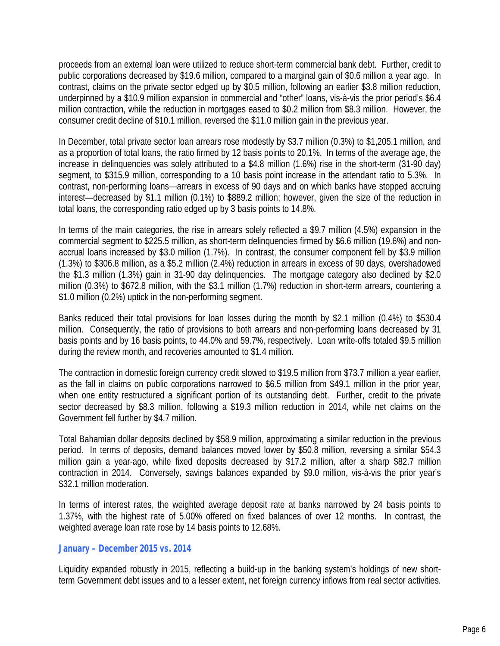proceeds from an external loan were utilized to reduce short-term commercial bank debt. Further, credit to public corporations decreased by \$19.6 million, compared to a marginal gain of \$0.6 million a year ago. In contrast, claims on the private sector edged up by \$0.5 million, following an earlier \$3.8 million reduction, underpinned by a \$10.9 million expansion in commercial and "other" loans, vis-à-vis the prior period's \$6.4 million contraction, while the reduction in mortgages eased to \$0.2 million from \$8.3 million. However, the consumer credit decline of \$10.1 million, reversed the \$11.0 million gain in the previous year.

In December, total private sector loan arrears rose modestly by \$3.7 million (0.3%) to \$1,205.1 million, and as a proportion of total loans, the ratio firmed by 12 basis points to 20.1%. In terms of the average age, the increase in delinquencies was solely attributed to a \$4.8 million (1.6%) rise in the short-term (31-90 day) segment, to \$315.9 million, corresponding to a 10 basis point increase in the attendant ratio to 5.3%. In contrast, non-performing loans—arrears in excess of 90 days and on which banks have stopped accruing interest—decreased by \$1.1 million (0.1%) to \$889.2 million; however, given the size of the reduction in total loans, the corresponding ratio edged up by 3 basis points to 14.8%.

In terms of the main categories, the rise in arrears solely reflected a \$9.7 million (4.5%) expansion in the commercial segment to \$225.5 million, as short-term delinquencies firmed by \$6.6 million (19.6%) and non accrual loans increased by \$3.0 million (1.7%). In contrast, the consumer component fell by \$3.9 million (1.3%) to \$306.8 million, as a \$5.2 million (2.4%) reduction in arrears in excess of 90 days, overshadowed the \$1.3 million (1.3%) gain in 31-90 day delinquencies. The mortgage category also declined by \$2.0 million (0.3%) to \$672.8 million, with the \$3.1 million (1.7%) reduction in short-term arrears, countering a \$1.0 million (0.2%) uptick in the non-performing segment.

Banks reduced their total provisions for loan losses during the month by \$2.1 million (0.4%) to \$530.4 million. Consequently, the ratio of provisions to both arrears and non-performing loans decreased by 31 basis points and by 16 basis points, to 44.0% and 59.7%, respectively. Loan write-offs totaled \$9.5 million during the review month, and recoveries amounted to \$1.4 million.

The contraction in domestic foreign currency credit slowed to \$19.5 million from \$73.7 million a year earlier, as the fall in claims on public corporations narrowed to \$6.5 million from \$49.1 million in the prior year, when one entity restructured a significant portion of its outstanding debt. Further, credit to the private sector decreased by \$8.3 million, following a \$19.3 million reduction in 2014, while net claims on the Government fell further by \$4.7 million.

Total Bahamian dollar deposits declined by \$58.9 million, approximating a similar reduction in the previous period. In terms of deposits, demand balances moved lower by \$50.8 million, reversing a similar \$54.3 million gain a year-ago, while fixed deposits decreased by \$17.2 million, after a sharp \$82.7 million contraction in 2014. Conversely, savings balances expanded by \$9.0 million, vis-à-vis the prior year's \$32.1 million moderation.

In terms of interest rates, the weighted average deposit rate at banks narrowed by 24 basis points to 1.37%, with the highest rate of 5.00% offered on fixed balances of over 12 months. In contrast, the weighted average loan rate rose by 14 basis points to 12.68%.

#### *January – December 2015 vs. 2014*

Liquidity expanded robustly in 2015, reflecting a build-up in the banking system's holdings of new shortterm Government debt issues and to a lesser extent, net foreign currency inflows from real sector activities.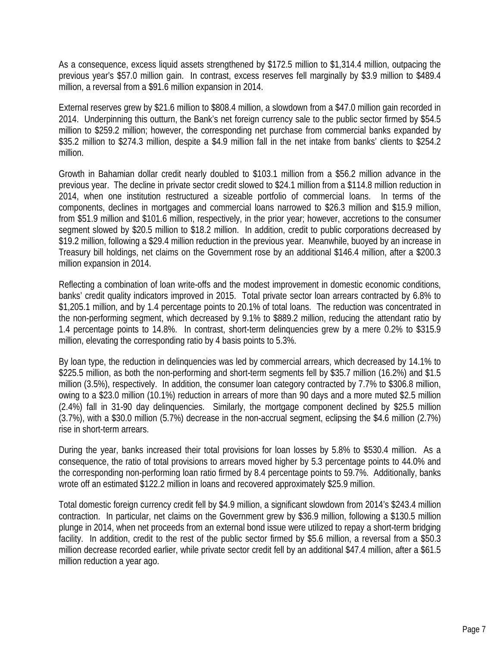As a consequence, excess liquid assets strengthened by \$172.5 million to \$1,314.4 million, outpacing the previous year's \$57.0 million gain. In contrast, excess reserves fell marginally by \$3.9 million to \$489.4 million, a reversal from a \$91.6 million expansion in 2014.

External reserves grew by \$21.6 million to \$808.4 million, a slowdown from a \$47.0 million gain recorded in 2014. Underpinning this outturn, the Bank's net foreign currency sale to the public sector firmed by \$54.5 million to \$259.2 million; however, the corresponding net purchase from commercial banks expanded by \$35.2 million to \$274.3 million, despite a \$4.9 million fall in the net intake from banks' clients to \$254.2 million.

Growth in Bahamian dollar credit nearly doubled to \$103.1 million from a \$56.2 million advance in the previous year. The decline in private sector credit slowed to \$24.1 million from a \$114.8 million reduction in 2014, when one institution restructured a sizeable portfolio of commercial loans. In terms of the components, declines in mortgages and commercial loans narrowed to \$26.3 million and \$15.9 million, from \$51.9 million and \$101.6 million, respectively, in the prior year; however, accretions to the consumer segment slowed by \$20.5 million to \$18.2 million. In addition, credit to public corporations decreased by \$19.2 million, following a \$29.4 million reduction in the previous year. Meanwhile, buoyed by an increase in Treasury bill holdings, net claims on the Government rose by an additional \$146.4 million, after a \$200.3 million expansion in 2014.

Reflecting a combination of loan write-offs and the modest improvement in domestic economic conditions, banks' credit quality indicators improved in 2015. Total private sector loan arrears contracted by 6.8% to \$1,205.1 million, and by 1.4 percentage points to 20.1% of total loans. The reduction was concentrated in the non-performing segment, which decreased by 9.1% to \$889.2 million, reducing the attendant ratio by 1.4 percentage points to 14.8%. In contrast, short-term delinquencies grew by a mere 0.2% to \$315.9 million, elevating the corresponding ratio by 4 basis points to 5.3%.

By loan type, the reduction in delinquencies was led by commercial arrears, which decreased by 14.1% to \$225.5 million, as both the non-performing and short-term segments fell by \$35.7 million (16.2%) and \$1.5 million (3.5%), respectively. In addition, the consumer loan category contracted by 7.7% to \$306.8 million, owing to a \$23.0 million (10.1%) reduction in arrears of more than 90 days and a more muted \$2.5 million (2.4%) fall in 31-90 day delinquencies. Similarly, the mortgage component declined by \$25.5 million (3.7%), with a \$30.0 million (5.7%) decrease in the non-accrual segment, eclipsing the \$4.6 million (2.7%) rise in short-term arrears.

During the year, banks increased their total provisions for loan losses by 5.8% to \$530.4 million. As a consequence, the ratio of total provisions to arrears moved higher by 5.3 percentage points to 44.0% and the corresponding non-performing loan ratio firmed by 8.4 percentage points to 59.7%. Additionally, banks wrote off an estimated \$122.2 million in loans and recovered approximately \$25.9 million.

Total domestic foreign currency credit fell by \$4.9 million, a significant slowdown from 2014's \$243.4 million contraction. In particular, net claims on the Government grew by \$36.9 million, following a \$130.5 million plunge in 2014, when net proceeds from an external bond issue were utilized to repay a short-term bridging facility. In addition, credit to the rest of the public sector firmed by \$5.6 million, a reversal from a \$50.3 million decrease recorded earlier, while private sector credit fell by an additional \$47.4 million, after a \$61.5 million reduction a year ago.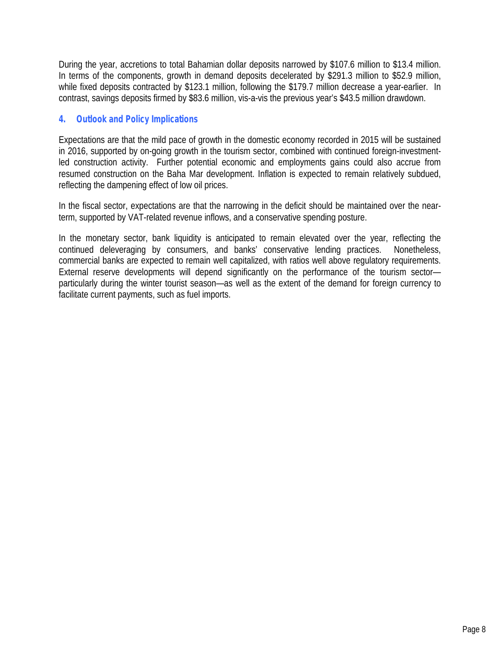During the year, accretions to total Bahamian dollar deposits narrowed by \$107.6 million to \$13.4 million. In terms of the components, growth in demand deposits decelerated by \$291.3 million to \$52.9 million, while fixed deposits contracted by \$123.1 million, following the \$179.7 million decrease a year-earlier. In contrast, savings deposits firmed by \$83.6 million, vis-a-vis the previous year's \$43.5 million drawdown.

#### *4. Outlook and Policy Implications*

Expectations are that the mild pace of growth in the domestic economy recorded in 2015 will be sustained in 2016, supported by on-going growth in the tourism sector, combined with continued foreign-investmentled construction activity. Further potential economic and employments gains could also accrue from resumed construction on the Baha Mar development. Inflation is expected to remain relatively subdued, reflecting the dampening effect of low oil prices.

In the fiscal sector, expectations are that the narrowing in the deficit should be maintained over the nearterm, supported by VAT-related revenue inflows, and a conservative spending posture.

In the monetary sector, bank liquidity is anticipated to remain elevated over the year, reflecting the continued deleveraging by consumers, and banks' conservative lending practices. Nonetheless, commercial banks are expected to remain well capitalized, with ratios wellabove regulatory requirements. External reserve developments will depend significantly on the performance of the tourism sector particularly during the winter tourist season—as well as the extent of the demand for foreign currency to facilitate current payments, such as fuel imports.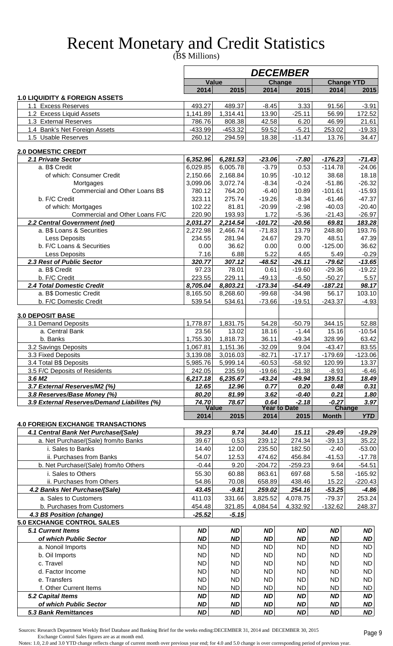# Recent Monetary and Credit Statistics

(B\$ Millions)

|                                                      |                      |                      |                      | <i><b>DECEMBER</b></i>         |                       |                       |
|------------------------------------------------------|----------------------|----------------------|----------------------|--------------------------------|-----------------------|-----------------------|
|                                                      | <b>Value</b>         |                      |                      | <b>Change</b>                  |                       | <b>Change YTD</b>     |
|                                                      | 2014                 | 2015                 | 2014                 | 2015                           | 2014                  | 2015                  |
| <b>1.0 LIQUIDITY &amp; FOREIGN ASSETS</b>            |                      |                      |                      |                                |                       |                       |
| 1.1 Excess Reserves<br>1.2 Excess Liquid Assets      | 493.27<br>1,141.89   | 489.37<br>1,314.41   | $-8.45$<br>13.90     | 3.33<br>$-25.11$               | 91.56<br>56.99        | $-3.91$<br>172.52     |
| 1.3 External Reserves                                | 786.76               | 808.38               | 42.58                | 6.20                           | 46.99                 | 21.61                 |
| 1.4 Bank's Net Foreign Assets                        | -433.99              | $-453.32$            | 59.52                | $-5.21$                        | 253.02                | $-19.33$              |
| 1.5 Usable Reserves                                  | 260.12               | 294.59               | 18.38                | $-11.47$                       | 13.76                 | 34.47                 |
|                                                      |                      |                      |                      |                                |                       |                       |
| <b>2.0 DOMESTIC CREDIT</b>                           |                      |                      |                      |                                |                       |                       |
| 2.1 Private Sector                                   | 6,352.96             | 6,281.53             | $-23.06$             | $-7.80$                        | $-176.23$             | $-71.43$              |
| a. B\$ Credit<br>of which: Consumer Credit           | 6,029.85<br>2,150.66 | 6,005.78<br>2,168.84 | $-3.79$<br>10.95     | 0.53<br>$-10.12$               | $-114.78$<br>38.68    | $-24.06$<br>18.18     |
| Mortgages                                            | 3,099.06             | 3,072.74             | $-8.34$              | $-0.24$                        | $-51.86$              | $-26.32$              |
| Commercial and Other Loans B\$                       | 780.12               | 764.20               | $-6.40$              | 10.89                          | $-101.61$             | $-15.93$              |
| b. F/C Credit                                        | 323.11               | 275.74               | $-19.26$             | $-8.34$                        | $-61.46$              | $-47.37$              |
| of which: Mortgages                                  | 102.22               | 81.81                | $-20.99$             | $-2.98$                        | $-40.03$              | $-20.40$              |
| Commercial and Other Loans F/C                       | 220.90               | 193.93               | 1.72                 | $-5.36$                        | $-21.43$              | $-26.97$              |
| 2.2 Central Government (net)                         | 2,031.27             | 2,214.54             | $-101.72$            | $-20.56$                       | 69.81                 | 183.28                |
| a. B\$ Loans & Securities                            | 2,272.98             | 2,466.74             | $-71.83$             | 13.79                          | 248.80                | 193.76                |
| Less Deposits                                        | 234.55               | 281.94               | 24.67                | 29.70                          | 48.51                 | 47.39                 |
| b. F/C Loans & Securities                            | 0.00                 | 36.62                | 0.00                 | 0.00                           | $-125.00$             | 36.62                 |
| Less Deposits<br>2.3 Rest of Public Sector           | 7.16<br>320.77       | 6.88<br>307.12       | 5.22<br>$-48.52$     | 4.65<br>$-26.11$               | 5.49<br>$-79.62$      | $-0.29$<br>$-13.65$   |
| a. B\$ Credit                                        | 97.23                | 78.01                | 0.61                 | $-19.60$                       | $-29.36$              | $-19.22$              |
| b. F/C Credit                                        | 223.55               | 229.11               | $-49.13$             | $-6.50$                        | $-50.27$              | 5.57                  |
| 2.4 Total Domestic Credit                            | 8,705.04             | 8,803.21             | $-173.34$            | $-54.49$                       | $-187.21$             | 98.17                 |
| a. B\$ Domestic Credit                               | 8,165.50             | 8,268.60             | $-99.68$             | $-34.98$                       | 56.17                 | 103.10                |
| b. F/C Domestic Credit                               | 539.54               | 534.61               | $-73.66$             | $-19.51$                       | $-243.37$             | $-4.93$               |
|                                                      |                      |                      |                      |                                |                       |                       |
| <b>3.0 DEPOSIT BASE</b>                              |                      |                      |                      |                                |                       |                       |
| 3.1 Demand Deposits<br>a. Central Bank               | 1,778.87<br>23.56    | 1,831.75<br>13.02    | 54.28<br>18.16       | $-50.79$<br>$-1.44$            | 344.15<br>15.16       | 52.88<br>$-10.54$     |
| b. Banks                                             | 1,755.30             | 1,818.73             | 36.11                | $-49.34$                       | 328.99                | 63.42                 |
| 3.2 Savings Deposits                                 | 1,067.81             | 1,151.36             | $-32.09$             | 9.04                           | $-43.47$              | 83.55                 |
| 3.3 Fixed Deposits                                   | 3,139.08             | 3,016.03             | $-82.71$             | $-17.17$                       | $-179.69$             | $-123.06$             |
| 3.4 Total B\$ Deposits                               | 5,985.76             | 5,999.14             | $-60.53$             | $-58.92$                       | 120.99                | 13.37                 |
| 3.5 F/C Deposits of Residents                        | 242.05               | 235.59               | $-19.66$             | $-21.38$                       | $-8.93$               | $-6.46$               |
| 3.6 M <sub>2</sub>                                   | 6,217.18             | 6,235.67             | $-43.24$             | $-49.94$                       | 139.51                | 18.49                 |
| 3.7 External Reserves/M2 (%)                         | 12.65                | 12.96                | 0.77                 | 0.20                           | 0.48                  | 0.31                  |
| 3.8 Reserves/Base Money (%)                          | 80.20<br>74.70       | 81.99<br>78.67       | 3.62<br>0.64         | $-0.40$                        | 0.21<br>$-0.27$       | 1.80                  |
| 3.9 External Reserves/Demand Liabilites (%)          |                      | <b>Value</b>         |                      | $-2.18$<br><b>Year to Date</b> |                       | 3.97<br><b>Change</b> |
|                                                      | 2014                 | 2015                 | 2014                 | 2015                           | <b>Month</b>          | <b>YTD</b>            |
| <b>4.0 FOREIGN EXCHANGE TRANSACTIONS</b>             |                      |                      |                      |                                |                       |                       |
| 4.1 Central Bank Net Purchase/(Sale)                 | 39.23                | 9.74                 | 34.40                | 15.11                          | $-29.49$              | $-19.29$              |
| a. Net Purchase/(Sale) from/to Banks                 | 39.67                | 0.53                 | 239.12               | 274.34                         | $-39.13$              | 35.22                 |
| i. Sales to Banks                                    | 14.40                | 12.00                | 235.50               | 182.50                         | $-2.40$               | $-53.00$              |
| ii. Purchases from Banks                             | 54.07                | 12.53                | 474.62               | 456.84                         | $-41.53$              | $-17.78$              |
| b. Net Purchase/(Sale) from/to Others                | $-0.44$              | 9.20                 | $-204.72$            | $-259.23$                      | 9.64                  | $-54.51$              |
| i. Sales to Others                                   | 55.30                | 60.88                | 863.61               | 697.68                         | 5.58                  | $-165.92$             |
| ii. Purchases from Others                            | 54.86                | 70.08                | 658.89               | 438.46                         | 15.22                 | $-220.43$             |
| 4.2 Banks Net Purchase/(Sale)                        | 43.45                | $-9.81$              | 259.02               | 254.16                         | $-53.25$              | $-4.86$               |
| a. Sales to Customers<br>b. Purchases from Customers | 411.03<br>454.48     | 331.66<br>321.85     | 3,825.52<br>4,084.54 | 4,078.75<br>4,332.92           | $-79.37$<br>$-132.62$ | 253.24<br>248.37      |
| 4.3 B\$ Position (change)                            | $-25.52$             | $-5.15$              |                      |                                |                       |                       |
| <b>5.0 EXCHANGE CONTROL SALES</b>                    |                      |                      |                      |                                |                       |                       |
| <b>5.1 Current Items</b>                             | <b>ND</b>            | <b>ND</b>            | <b>ND</b>            | <b>ND</b>                      | <b>ND</b>             | <b>ND</b>             |
| of which Public Sector                               | <b>ND</b>            | <b>ND</b>            | <b>ND</b>            | <b>ND</b>                      | <b>ND</b>             | <b>ND</b>             |
| a. Nonoil Imports                                    | <b>ND</b>            | <b>ND</b>            | <b>ND</b>            | <b>ND</b>                      | <b>ND</b>             | <b>ND</b>             |
| b. Oil Imports                                       | <b>ND</b>            | <b>ND</b>            | <b>ND</b>            | <b>ND</b>                      | <b>ND</b>             | <b>ND</b>             |
| c. Travel                                            | <b>ND</b>            | <b>ND</b>            | <b>ND</b>            | <b>ND</b>                      | <b>ND</b>             | <b>ND</b>             |
| d. Factor Income                                     | <b>ND</b>            | <b>ND</b>            | <b>ND</b>            | <b>ND</b>                      | <b>ND</b>             | <b>ND</b>             |
| e. Transfers                                         | <b>ND</b>            | <b>ND</b>            | <b>ND</b>            | <b>ND</b>                      | <b>ND</b>             | <b>ND</b>             |
| f. Other Current Items                               | <b>ND</b>            | <b>ND</b>            | <b>ND</b>            | <b>ND</b>                      | <b>ND</b>             | <b>ND</b>             |
| 5.2 Capital Items                                    | <b>ND</b>            | <b>ND</b>            | <b>ND</b>            | <b>ND</b>                      | <b>ND</b>             | <b>ND</b>             |
| of which Public Sector                               | <b>ND</b>            | <b>ND</b>            | <b>ND</b>            | <b>ND</b>                      | <b>ND</b>             | <b>ND</b>             |
| <b>5.3 Bank Remittances</b>                          | <b>ND</b>            | <b>ND</b>            | <b>ND</b>            | <b>ND</b>                      | <b>ND</b>             | <b>ND</b>             |

 **5.3 Bank Remittances ND ND ND ND ND ND**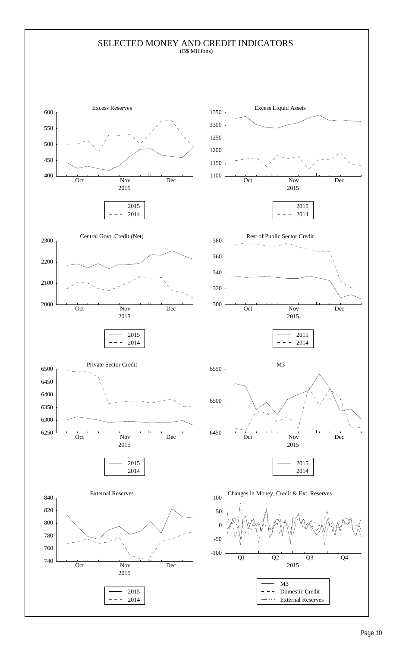#### SELECTED MONEY AND CREDIT INDICATORS (B\$ Millions)

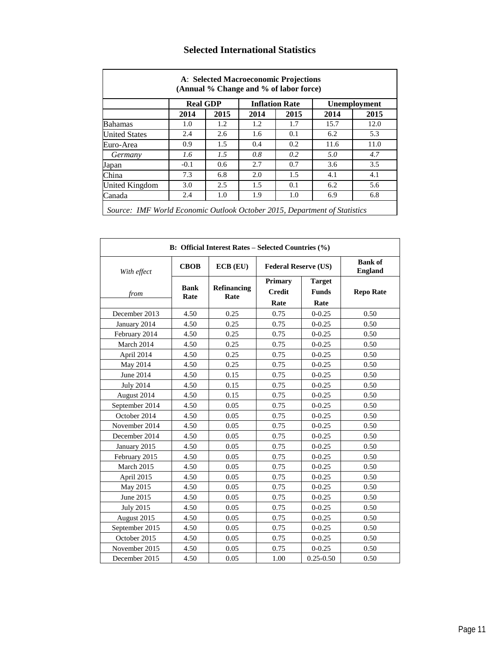|                      | <b>Real GDP</b> |      |      | <b>Inflation Rate</b> |      | <b>Unemployment</b> |
|----------------------|-----------------|------|------|-----------------------|------|---------------------|
|                      | 2014            | 2015 | 2014 | 2015                  | 2014 | 2015                |
| <b>Bahamas</b>       | 1.0             | 1.2  | 1.2  | 1.7                   | 15.7 | 12.0                |
| <b>United States</b> | 2.4             | 2.6  | 1.6  | 0.1                   | 6.2  | 5.3                 |
| Euro-Area            | 0.9             | 1.5  | 0.4  | 0.2                   | 11.6 | 11.0                |
| Germany              | 1.6             | 1.5  | 0.8  | 0.2                   | 5.0  | 4.7                 |
| Japan                | $-0.1$          | 0.6  | 2.7  | 0.7                   | 3.6  | 3.5                 |
| China                | 7.3             | 6.8  | 2.0  | 1.5                   | 4.1  | 4.1                 |
| United Kingdom       | 3.0             | 2.5  | 1.5  | 0.1                   | 6.2  | 5.6                 |
| Canada               | 2.4             | 1.0  | 1.9  | 1.0                   | 6.9  | 6.8                 |

#### **Selected International Statistics**

|                  |                     | B: Official Interest Rates - Selected Countries (%) |                                  |                                       |                                  |
|------------------|---------------------|-----------------------------------------------------|----------------------------------|---------------------------------------|----------------------------------|
| With effect      | <b>CBOB</b>         | $ECB$ $(EU)$                                        | <b>Federal Reserve (US)</b>      |                                       | <b>Bank</b> of<br><b>England</b> |
| from             | <b>Bank</b><br>Rate | Refinancing<br>Rate                                 | Primary<br><b>Credit</b><br>Rate | <b>Target</b><br><b>Funds</b><br>Rate | <b>Repo Rate</b>                 |
| December 2013    | 4.50                | 0.25                                                | 0.75                             | $0 - 0.25$                            | 0.50                             |
| January 2014     | 4.50                | 0.25                                                | 0.75                             | $0 - 0.25$                            | 0.50                             |
| February 2014    | 4.50                | 0.25                                                | 0.75                             | $0 - 0.25$                            | 0.50                             |
| March 2014       | 4.50                | 0.25                                                | 0.75                             | $0 - 0.25$                            | 0.50                             |
| April 2014       | 4.50                | 0.25                                                | 0.75                             | $0 - 0.25$                            | 0.50                             |
| May 2014         | 4.50                | 0.25                                                | 0.75                             | $0 - 0.25$                            | 0.50                             |
| June 2014        | 4.50                | 0.15                                                | 0.75                             | $0 - 0.25$                            | 0.50                             |
| <b>July 2014</b> | 4.50                | 0.15                                                | 0.75                             | $0 - 0.25$                            | 0.50                             |
| August 2014      | 4.50                | 0.15                                                | 0.75                             | $0 - 0.25$                            | 0.50                             |
| September 2014   | 4.50                | 0.05                                                | 0.75                             | $0 - 0.25$                            | 0.50                             |
| October 2014     | 4.50                | 0.05                                                | 0.75                             | $0 - 0.25$                            | 0.50                             |
| November 2014    | 4.50                | 0.05                                                | 0.75                             | $0 - 0.25$                            | 0.50                             |
| December 2014    | 4.50                | 0.05                                                | 0.75                             | $0 - 0.25$                            | 0.50                             |
| January 2015     | 4.50                | 0.05                                                | 0.75                             | $0 - 0.25$                            | 0.50                             |
| February 2015    | 4.50                | 0.05                                                | 0.75                             | $0 - 0.25$                            | 0.50                             |
| March 2015       | 4.50                | 0.05                                                | 0.75                             | $0 - 0.25$                            | 0.50                             |
| April 2015       | 4.50                | 0.05                                                | 0.75                             | $0 - 0.25$                            | 0.50                             |
| May 2015         | 4.50                | 0.05                                                | 0.75                             | $0 - 0.25$                            | 0.50                             |
| June 2015        | 4.50                | 0.05                                                | 0.75                             | $0 - 0.25$                            | 0.50                             |
| <b>July 2015</b> | 4.50                | 0.05                                                | 0.75                             | $0 - 0.25$                            | 0.50                             |
| August 2015      | 4.50                | 0.05                                                | 0.75                             | $0 - 0.25$                            | 0.50                             |
| September 2015   | 4.50                | 0.05                                                | 0.75                             | $0 - 0.25$                            | 0.50                             |
| October 2015     | 4.50                | 0.05                                                | 0.75                             | $0 - 0.25$                            | 0.50                             |
| November 2015    | 4.50                | 0.05                                                | 0.75                             | $0 - 0.25$                            | 0.50                             |
| December 2015    | 4.50                | 0.05                                                | 1.00                             | $0.25 - 0.50$                         | 0.50                             |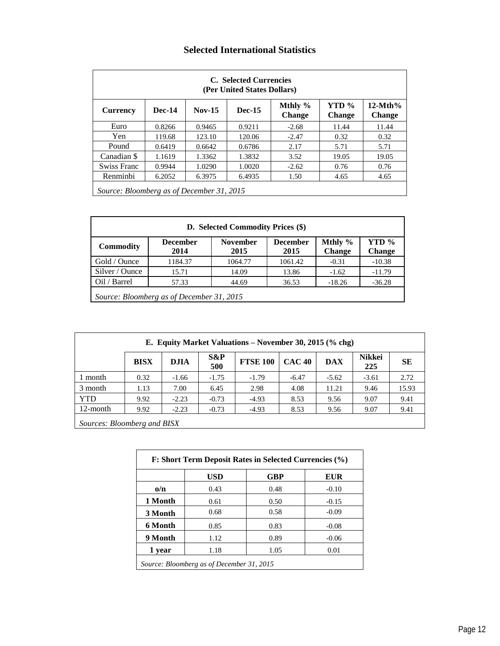#### **Selected International Statistics**

|                                           |               |          | C. Selected Currencies<br>(Per United States Dollars) |                          |                        |                            |
|-------------------------------------------|---------------|----------|-------------------------------------------------------|--------------------------|------------------------|----------------------------|
| <b>Currency</b>                           | <b>Dec-14</b> | $Nov-15$ | <b>Dec-15</b>                                         | Mthly %<br><b>Change</b> | YTD %<br><b>Change</b> | $12-Mth%$<br><b>Change</b> |
| Euro                                      | 0.8266        | 0.9465   | 0.9211                                                | $-2.68$                  | 11.44                  | 11.44                      |
| Yen                                       | 119.68        | 123.10   | 120.06                                                | $-2.47$                  | 0.32                   | 0.32                       |
| Pound                                     | 0.6419        | 0.6642   | 0.6786                                                | 2.17                     | 5.71                   | 5.71                       |
| Canadian \$                               | 1.1619        | 1.3362   | 1.3832                                                | 3.52                     | 19.05                  | 19.05                      |
| Swiss Franc                               | 0.9944        | 1.0290   | 1.0020                                                | $-2.62$                  | 0.76                   | 0.76                       |
| Renminbi                                  | 6.2052        | 6.3975   | 6.4935                                                | 1.50                     | 4.65                   | 4.65                       |
| Source: Bloomberg as of December 31, 2015 |               |          |                                                       |                          |                        |                            |

|                  |                                           | D. Selected Commodity Prices (\$) |                         |                          |                        |
|------------------|-------------------------------------------|-----------------------------------|-------------------------|--------------------------|------------------------|
| <b>Commodity</b> | <b>December</b><br>2014                   | <b>November</b><br>2015           | <b>December</b><br>2015 | Mthly %<br><b>Change</b> | YTD %<br><b>Change</b> |
| Gold / Ounce     | 1184.37                                   | 1064.77                           | 1061.42                 | $-0.31$                  | $-10.38$               |
| Silver / Ounce   | 15.71                                     | 14.09                             | 13.86                   | $-1.62$                  | $-11.79$               |
| Oil / Barrel     | 57.33                                     | 44.69                             | 36.53                   | $-18.26$                 | $-36.28$               |
|                  | Source: Bloomberg as of December 31, 2015 |                                   |                         |                          |                        |

|                             |             |             |            | E. Equity Market Valuations – November 30, 2015 $(\%$ chg) |               |            |                      |       |
|-----------------------------|-------------|-------------|------------|------------------------------------------------------------|---------------|------------|----------------------|-------|
|                             | <b>BISX</b> | <b>DJIA</b> | S&P<br>500 | <b>FTSE 100</b>                                            | <b>CAC 40</b> | <b>DAX</b> | <b>Nikkei</b><br>225 | SЕ    |
| 1 month                     | 0.32        | $-1.66$     | $-1.75$    | $-1.79$                                                    | $-6.47$       | $-5.62$    | $-3.61$              | 2.72  |
| 3 month                     | 1.13        | 7.00        | 6.45       | 2.98                                                       | 4.08          | 11.21      | 9.46                 | 15.93 |
| <b>YTD</b>                  | 9.92        | $-2.23$     | $-0.73$    | $-4.93$                                                    | 8.53          | 9.56       | 9.07                 | 9.41  |
| 12-month                    | 9.92        | $-2.23$     | $-0.73$    | $-4.93$                                                    | 8.53          | 9.56       | 9.07                 | 9.41  |
| Sources: Bloomberg and BISX |             |             |            |                                                            |               |            |                      |       |

|                         | <b>USD</b> | <b>GBP</b> | <b>EUR</b> |
|-------------------------|------------|------------|------------|
| $\mathbf{o}/\mathbf{n}$ | 0.43       | 0.48       | $-0.10$    |
| 1 Month                 | 0.61       | 0.50       | $-0.15$    |
| 3 Month                 | 0.68       | 0.58       | $-0.09$    |
| 6 Month                 | 0.85       | 0.83       | $-0.08$    |
| 9 Month                 | 1.12       | 0.89       | $-0.06$    |
| 1 year                  | 1.18       | 1.05       | 0.01       |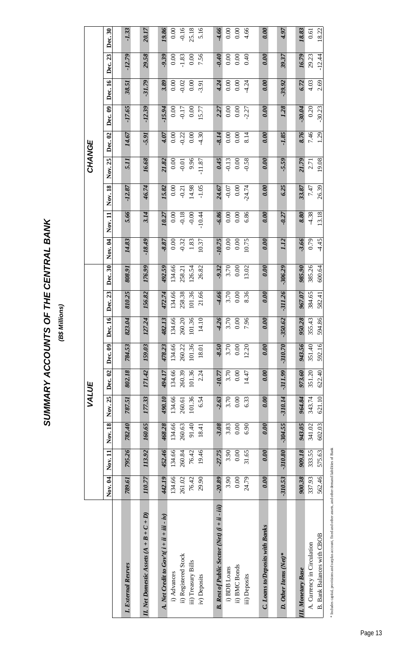SUMMARY ACCOUNTS OF THE CENTRAL BANK **SUMMARY ACCOUNTS OF THE CENTRAL BANK**

(B\$ Millions) **(B\$ Millions)**

|                                                                                                |           |           |           | VALUE     |           |           |           |           |           |          |          |          | CHANGE   |          |          |          |          |         |
|------------------------------------------------------------------------------------------------|-----------|-----------|-----------|-----------|-----------|-----------|-----------|-----------|-----------|----------|----------|----------|----------|----------|----------|----------|----------|---------|
|                                                                                                | Nov. 04   | Nov. 11   | Nov. 18   | Nov. 25   | Dec. 02   | Dec. 09   | Dec. 16   | Dec. 23   | Dec. 30   | Nov. 04  | Nov. 11  | Nov. 18  | Nov. 25  | Dec. 02  | Dec. 09  | Dec. 16  | Dec. 23  | Dec. 30 |
|                                                                                                |           |           |           |           |           |           |           |           |           |          |          |          |          |          |          |          |          |         |
| ernal Resrves<br>$I.$ Exte                                                                     | 789.61    | 795.26    | 782.40    | 787.51    | 802.18    | 784.53    | 823.04    | 810.25    | 808.91    | 14.83    | 5.66     | $-12.87$ | 5.11     | 14.67    | $-17.65$ | 38.51    | $-12.79$ | $-1.33$ |
| Domestic Assets $(A + B + C + D)$<br>II. Net                                                   | 110.77    | 113.92    | 160.65    | 177.33    | 171.42    | 159.03    | 127.24    | 156.82    | 176.99    | $-18.49$ | 3.14     | 46.74    | 16.68    | 5.91     | $-12.39$ | $-31.79$ | 29.58    | 20.17   |
| A. Net Credit to $Gov^{\prime}t(i + ii + iii - iv)$                                            | 442.19    | 452.46    | 468.28    | 490.10    | 494.17    | 478.23    | 482.13    | 472.74    | 492.59    | $-8.87$  | 10.27    | 15.82    | 21.82    | 4.07     | $-15.94$ | 3.89     | $-9.39$  | 19.86   |
|                                                                                                | 134.66    | 134.66    | 134.66    | 134.66    | 134.66    | 134.66    | 134.66    | 134.66    | 134.66    | 0.00     | 0.00     | 0.00     | 0.00     | 0.00     | 0.00     | 0.00     | 0.00     | 0.00    |
| Registered Stock                                                                               | 261.02    | 260.84    | 260.63    | 260.61    | 260.39    | 260.22    | 260.20    | 258.38    | 258.21    | $-0.32$  | $-0.18$  | $-0.21$  | $-0.01$  | $-0.22$  | $-0.17$  | $-0.02$  | $-1.83$  | $-0.16$ |
| i) Advances<br>ii) Registered Stoc<br>iii) Treasury Bills                                      | 76.42     | 76.42     | 91.40     | 101.36    | 101.36    | 101.36    | 101.36    | 101.36    | 126.54    | 1.83     | $-0.00$  | 14.98    | 9.96     | $0.00\,$ | 0.00     | 0.00     | 0.00     | 25.18   |
| Deposits<br>$\overline{N}$                                                                     | 29.90     | 19.46     | 18.41     | 6.54      | 2.24      | 18.01     | 14.10     | 21.66     | 26.82     | 10.37    | $-10.44$ | $-1.05$  | $-11.87$ | 4.30     | 15.77    | $-3.91$  | 7.56     | 5.16    |
|                                                                                                |           |           |           |           |           |           |           |           |           |          |          |          |          |          |          |          |          |         |
| <b>B.</b> Rest of Public Sector (Net) $(i + ii - iii)$                                         | $-20.89$  | $-27.75$  | $-3.08$   | $-2.63$   | $-10.77$  | $-8.50$   | $-4.26$   | $-4.66$   | $-9.32$   | $-10.75$ | $-6.86$  | 24.67    | 0.45     | 8.14     | 2.27     | 4.24     | 0.40     | -4.66   |
| <b>BDB</b> Loans                                                                               | 3.90      | 3.90      | 3.83      | 3.70      | 3.70      | 3.70      | 3.70      | 3.70      | 3.70      | 0.00     | 0.00     | $-0.07$  | $-0.13$  | $0.00\,$ | 0.00     | 0.00     | 0.00     | 0.00    |
| <b>BMC</b> Bonds<br>$\widehat{\textbf{H}}:\widehat{\textbf{H}}\rightarrow\widehat{\textbf{H}}$ | 0.00      | 0.00      | 0.00      | 0.00      | 0.00      | 0.00      | 0.00      | 0.00      | 0.00      | 0.00     | 0.00     | 0.00     | 0.00     | 0.00     | 0.00     | 0.00     | 0.00     | 0.00    |
| Deposits<br>$\widehat{H}$                                                                      | 24.79     | 31.65     | 6.90      | 6.33      | 14.47     | 12.20     | 7.96      | 8.36      | 13.02     | 10.75    | 6.86     | $-24.74$ | $-0.58$  | 8.14     | $-2.27$  | 4.24     | 0.40     | 4.66    |
|                                                                                                |           |           |           |           |           |           |           |           |           |          |          |          |          |          |          |          |          |         |
| oans to/Deposits with Banks<br>に<br>こ                                                          | 0.00      | 0.00      | 0.00      | 0.00      | 0.00      | 0.00      | 0.00      | 0.00      | 0.00      | 0.00     | 0.00     | 0.00     | 0.00     | 0.00     | 0.00     | 0.00     | 0.00     | 0.00    |
|                                                                                                |           |           |           |           |           |           |           |           |           |          |          |          |          |          |          |          |          |         |
| ther Items (Net)*<br>D. O                                                                      | $-310.53$ | $-310.80$ | $-304.55$ | $-310.14$ | $-311.99$ | $-310.70$ | $-350.62$ | $-311.26$ | $-306.29$ | 1.12     | $-0.27$  | 6.25     | $-5.59$  | $-1.85$  | 1.28     | $-39.92$ | 39.37    | 4.97    |
|                                                                                                |           |           |           |           |           |           |           |           |           |          |          |          |          |          |          |          |          |         |
| <b>II.</b> Monetary Base                                                                       | 900.38    | 909.18    | 943.05    | 964.84    | 973.60    | 943.56    | 950.28    | 967.07    | 985.90    | $-3.66$  | 8.80     | 33.87    | 21.79    | 8.76     | $-30.04$ | 6.72     | 16.79    | 18.83   |
| A. Currency in Circulation                                                                     | 337.93    | 333.55    | 341.02    | 343.74    | 351.20    | 351.40    | 355.43    | 384.65    | 385.26    | 0.79     | $-4.38$  | 7.47     | 2.71     | 7.46     | 0.20     | 4.03     | 29.23    | 0.61    |
| B. Bank Balances with CBOB                                                                     | 562.46    | 575.63    | 602.03    | 621.10    | 622.40    | 592.16    | 594.86    | 582.41    | 600.64    | $-4.45$  | 13.18    | 26.39    | 19.08    | 1.29     | $-30.23$ | 2.69     | $-12.44$ | 18.22   |
|                                                                                                |           |           |           |           |           |           |           |           |           |          |          |          |          |          |          |          |          |         |

\* Includes capital, provisions and surplus account, fixed and other assets, and other demand liabilities of Bank \* Includes capital, provisions and surplus account, fixed and other assets, and other demand liabilities of Bank